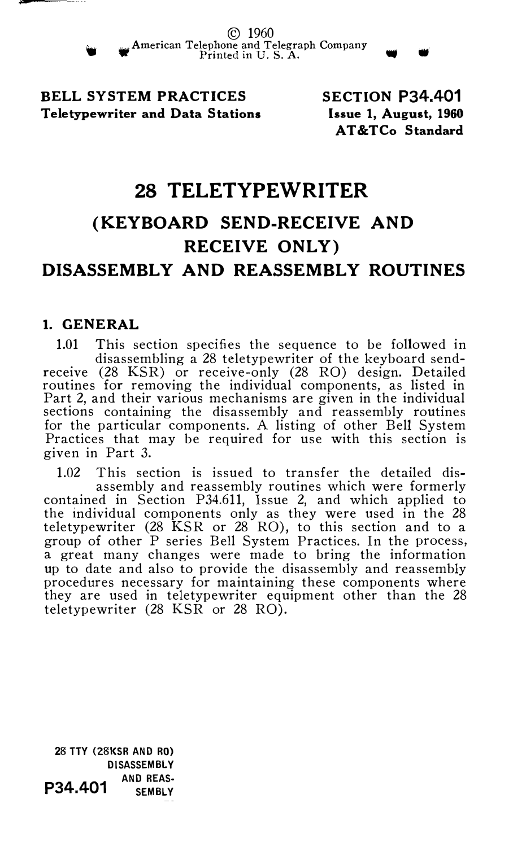BELL SYSTEM PRACTICES Teletypewriter and Data Stations SECTION P34.401 Issue 1, August, 1960 AT&TCo Standard

# 28 TELETYPEWRITER

# (KEYBOARD SEND-RECEIVE AND RECEIVE ONLY) DISASSEMBLY AND REASSEMBLY ROUTINES

### 1. GENERAL

1.01 This section specifies the sequence to be followed in disassembling a 28 teletypewriter of the keyboard sendreceive (28 KSR) or receive-only (28 RO) design. Detailed routines for removing the individual components, as listed in Part 2, and their various mechanisms are given in the individual sections containing the disassembly and reassembly routines for the particular components. A listing of other Bell System Practices that may be required for use with this section is given in Part 3.

1.02 This section is issued to transfer the detailed disassembly and reassembly routines which were formerly contained in Section P34.611, Issue 2, and which applied to the individual components only as they were used in the 28 teletypewriter (28 KSR or 28 RO), to this section and to a group of other P series Bell System Practices. In the process, a great many changes were made to bring the information up to date and also to provide the disassembly and reassembly procedures necessary for maintaining these components where they are used in teletypewriter equipment other than the 28 teletypewriter (28 KSR or 28 RO).

**28 TTY (28KSR AND RO)** DISASSEMBLY P34.401 AND REAS-